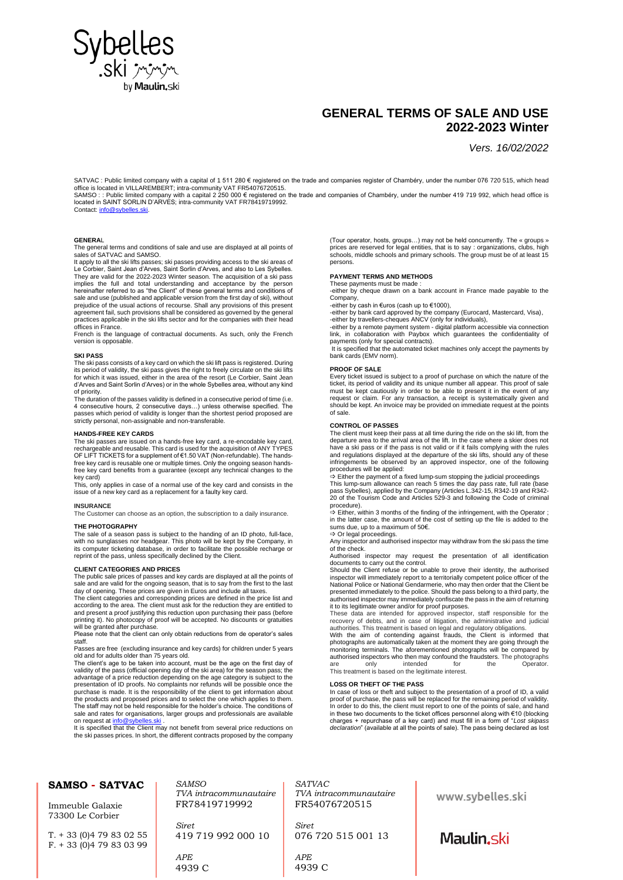

## **GENERAL TERMS OF SALE AND USE 2022-2023 Winter**

*Vers. 16/02/2022*

SATVAC : Public limited company with a capital of 1 511 280 € registered on the trade and companies register of Chambéry, under the number 076 720 515, which head<br>office is located in VILLAREMBERT; intra-community VAT FR5

Contact[: info@sybelles.ski.](mailto:info@sybelles.ski) 

**GENERA**L

The general terms and conditions of sale and use are displayed at all points of sales of SATVAC and SAMSO.

It apply to all the ski lifts passes; ski passes providing access to the ski areas of Le Corbier, Saint Jean d'Arves, Saint Sorlin d'Arves, and also to Les Sybelles. They are valid for the 2022-2023 Winter season. The acquisition of a ski pass implies the full and total understanding and acceptance by the person hereinafter referred to as "the Client" of these general terms and conditions of sale and use (published and applicable version from the first day of ski), without prejudice of the usual actions of recourse. Shall any provisions of this present agreement fail, such provisions shall be considered as governed by the general practices applicable in the ski lifts sector and for the companies with their head offices in France.

French is the language of contractual documents. As such, only the French version is opposable.

#### **SKI PASS**

The ski pass consists of a key card on which the ski lift pass is registered. During its period of validity, the ski pass gives the right to freely circulate on the ski lifts for which it was issued, either in the area of the resort (Le Corbier, Saint Jean d'Arves and Saint Sorlin d'Arves) or in the whole Sybelles area, without any kind of priority.

The duration of the passes validity is defined in a consecutive period of time (i.e. 4 consecutive hours, 2 consecutive days…) unless otherwise specified. The passes which period of validity is longer than the shortest period proposed are strictly personal, non-assignable and non-transferable.

### **HANDS-FREE KEY CARDS**

The ski passes are issued on a hands-free key card, a re-encodable key card, rechargeable and reusable. This card is used for the acquisition of ANY TYPES OF LIFT TICKETS for a supplement of €1.50 VAT (Non-refundable). The hands-<br>free key card is reusable one or multiple times. Only the ongoing season hands-<br>free key card benefits from a guarantee (except any technical chan key card)

This, only applies in case of a normal use of the key card and consists in the issue of a new key card as a replacement for a faulty key card.

#### **INSURANCE**

The Customer can choose as an option, the subscription to a daily insurance.

## **THE PHOTOGRAPHY**

The sale of a season pass is subject to the handing of an ID photo, full-face, with no sunglasses nor headgear. This photo will be kept by the Company, in its computer ticketing database, in order to facilitate the possible recharge or reprint of the pass, unless specifically declined by the Client.

### **CLIENT CATEGORIES AND PRICES**

The public sale prices of passes and key cards are displayed at all the points of sale and are valid for the ongoing season, that is to say from the first to the last

day of opening. These prices are given in Euros and include all taxes.<br>The client categories and corresponding prices are defined in the price list and<br>according to the area. The client must ask for the reduction they are above any to the area. The ensumeration the reduction they are shalled to and present a proof justifying this reduction upon purchasing their pass (before printing it). No photocopy of proof will be accepted. No discounts or gratuities will be granted after purchase.

Please note that the client can only obtain reductions from de operator's sales

staff. Passes are free (excluding insurance and key cards) for children under 5 years old and for adults older than 75 years old. The client's age to be taken into account, must be the age on the first day of the client's age to be taken into account, must be the age on the first day of

validity of the pass (official opening day of the ski area) for the season pass; the advantage of a price reduction depending on the age category is subject to the presentation of ID proofs. No complaints nor refunds will be possible once the<br>purchase is made. It is the responsibility of the client to get information about<br>the products and proposed prices and to select the one which The staff may not be held responsible for the holder's choice. The conditions of sale and rates for organisations, larger groups and professionals are available on request at **info@sybelles.ski** 

It is specified that the Client may not benefit from several price reductions on the ski passes prices. In short, the different contracts proposed by the company

(Tour operator, hosts, groups…) may not be held concurrently. The « groups » prices are reserved for legal entities, that is to say : organizations, clubs, high schools, middle schools and primary schools. The group must be of at least 15 persons.

### **PAYMENT TERMS AND METHODS**

These payments must be made -either by cheque drawn on a bank account in France made payable to the Company,

-either by cash in €uros (cash up to €1000),

-either by bank card approved by the company (Eurocard, Mastercard, Visa), -either by travellers-cheques ANCV (only for individuals),

-either by a remote payment system - digital platform accessible via connection link, in collaboration with Paybox which guarantees the confidentiality of payments (only for special contracts).

It is specified that the automated ticket machines only accept the payments by bank cards (EMV norm).

#### **PROOF OF SALE**

Every ticket issued is subject to a proof of purchase on which the nature of the ticket, its period of validity and its unique number all appear. This proof of sale must be kept cautiously in order to be able to present it in the event of any request or claim. For any transaction, a receipt is systematically given and should be kept. An invoice may be provided on immediate request at the points of sale.

#### **CONTROL OF PASSES**

The client must keep their pass at all time during the ride on the ski lift, from the departure area to the arrival area of the lift. In the case where a skier does not have a ski pass or if the pass is not valid or if it fails complying with the rules and regulations displayed at the departure of the ski lifts, should any of these infringements be observed by an approved inspector, one of the following procedures will be applied:

⇒ Either the payment of a fixed lump-sum stopping the judicial proceedings<br>This lump-sum allowance can reach 5 times the day pass rate, full rate (base<br>pass Sybelles), applied by the Company (Articles L.342-15, R342-19 a 20 of the Tourism Code and Articles 529-3 and following the Code of criminal

procedure).<br>➾ Either, within 3 months of the finding of the infringement, with the Operator ;<br>in the latter case, the amount of the cost of setting up the file is added to the sums due, up to a maximum of 50€.

 $\Rightarrow$  Or legal proceedings.

Any inspector and authorised inspector may withdraw from the ski pass the time of the check.

Authorised inspector may request the presentation of all identification documents to carry out the control.

Should the Client refuse or be unable to prove their identity, the authorised inspector will immediately report to a territorially competent police officer of the National Police or National Gendarmerie, who may then order that the Client be presented immediately to the police. Should the pass belong to a third party, the authorised inspector may immediately confiscate the pass in the aim of returning

it to its legitimate owner and/or for proof purposes. These data are intended for approved inspector, staff responsible for the recovery of debts, and in case of litigation, the administrative and judicial authorities. This treatment is based on legal and regulatory obligations.

With the aim of contending against frauds, the Client is informed that photographs are automatically taken at the moment they are going through the monitoring terminals. The aforementioned photographs will be compared by authorised inspectors who then may confound the fraudsters. The photographs are only intended for the Operator. This treatment is based on the legitimate interest.

### **LOSS OR THEFT OF THE PASS**

In case of loss or theft and subject to the presentation of a proof of ID, a valid proof of purchase, the pass will be replaced for the remaining period of validity.<br>In order to do this, the client must report to one of the points of sale, and hand<br>in these two documents to the ticket offices personnel a charges + repurchase of a key card) and must fill in a form of "*Lost skipass declaration*" (available at all the points of sale). The pass being declared as lost

#### **SAMSO - SATVAC** *SAMSO SATVAC TVA intracommunautaire TVA intracommunautaire* www.sybelles.ski FR78419719992 FR54076720515 Immeuble Galaxie 73300 Le Corbier *Siret Siret* 076 720 515 001 13 T. + 33 (0)4 79 83 02 55 419 719 992 000 10 Maulin, ski  $F. + 33(0)479830399$ *APE APE* 4939 C 4939 C